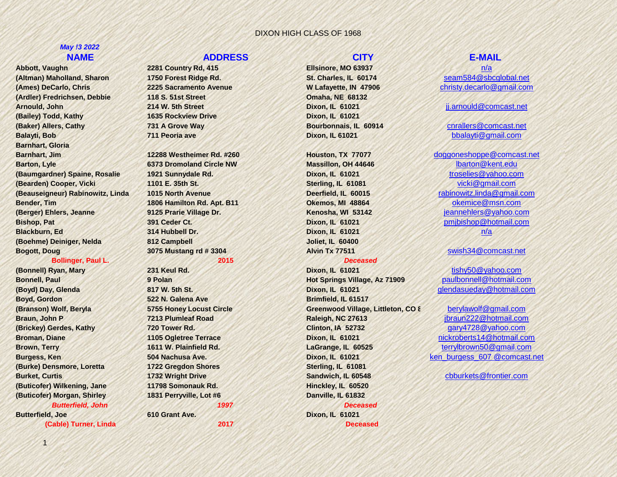# *May !3 2022*

**(Altman) Maholland, Sharon 1750 Forest Ridge Rd. St. Charles, IL 60174** [seam584@sbcglobal.net](mailto:seam584@sbcglobal.net) **(Ames) DeCarlo, Chris 2225 Sacramento Avenue W Lafayette, IN 47906** [christy.decarlo@gmail.com](mailto:christy.decarlo@gmail.com) **(Ardler) Fredrichsen, Debbie 118 S. 51st Street Omaha, NE 68132 Arnould, John 214 W. 5th Street Dixon, IL 61021** [jj.arnould@comcast.net](mailto:jj.arnould@comcast.net) **(Bailey) Todd, Kathy 1635 Rockview Drive Dixon, IL 61021 (Baker) Allers, Cathy 731 A Grove Way Bourbonnais, IL 60914** [cnrallers@comcast.net](mailto:cnrallers@comcast.net) **Balayti, Bob 711 Peoria ave Dixon, IL 61021** [bbalayti@gmail.com](mailto:bbalayti@gmail.com) **Barnhart, Gloria Barnhart, Jim 12288 Westheimer Rd. #260 Houston, TX 77077** [doggoneshoppe@comcast.net](mailto:doggoneshoppe@comcast.net) **Barton, Lyle 6373 Dromoland Circle NW <b>Massillon, OH 44646** [lbarton@kent.edu](mailto:lbarton@kent.edu) **(Baumgardner) Spaine, Rosalie 1921 Sunnydale Rd. Dixon, IL 61021** [troselies@yahoo.com](mailto:troselies@yahoo.com) **(Bearden) Cooper, Vicki 1101 E. 35th St. Sterling, IL 61081** [vicki@gmail.com](mailto:vicki@gmail.com) **(Beauseigneur) Rabinowitz, Linda 1015 North Avenue Deerfield, IL 60015** [rabinowitz.linda@gmail.com](mailto:rabinowitz.linda@gmail.com) **Bender, Tim 1806 Hamilton Rd. Apt. B11 Okemos, MI 48864** [okemice@msn.com](mailto:okemice@msn.com) **(Berger) Ehlers, Jeanne 9125 Prarie Village Dr. Kenosha, WI 53142** [jeannehlers@yahoo.com](mailto:jeannehlers@yahoo.com) **Bishop, Pat 391 Ceder Ct. Dixon, IL 61021** [pmjbishop@hotmail.com](mailto:pmjbishop@hotmail.com) **Blackburn, Ed 314 Hubbell Dr. Dixon, IL 61021** n/a **(Boehme) Deiniger, Nelda 812 Campbell Joliet, IL 60400 Bogott, Doug 3075 Mustang rd # 3304 Alvin Tx 77511** [swish34@comcast.net](mailto:swish34@comcast.net)

### **Bollinger, Paul L. 2015** *Deceased*

**Boyd, Gordon <b>Brimfield, IL 61517 522 N. Galena Ave Brimfield, IL 61517 (Burke) Densmore, Loretta 1722 Gregdon Shores Sterling, IL 61081 (Buticofer) Wilkening, Jane 11798 Somonauk Rd. Hinckley, IL 60520 (Buticofer) Morgan, Shirley 1831 Perryville, Lot #6 Danville, IL 61832 Butterfield, Joe 610 Grant Ave. Dixon, IL 61021**

### **NAME ADDRESS CITY E-MAIL**

**Abbott, Vaughn 2281 Country Rd, 415 Ellsinore, MO 63937** [n/a](mailto:vpabbott@sbcglobal.net)

*Butterfield, John 1997 Deceased* 

**Bonnell, Paul <b>Paul Paul Paul Paul Paul Paul Paul Paul** Polan **Bonnell, Paul Paulbonnell@hotmail.com (Boyd) Day, Glenda 817 W. 5th St. Dixon, IL 61021** [glendasueday@hotmail.com](mailto:glendasueday@hotmail.com) **(Branson) Wolf, Beryla 5755 Honey Locust Circle Greenwood Village, Littleton, CO 8** [berylawolf@gmail.com](mailto:berylawolf@gmail.com) **Braun, John P 7213 Plumleaf Road Raleigh, NC 27613** [jbraun222@hotmail.com](mailto:jbraun222@hotmail.com) **(Brickey) Gerdes, Kathy 720 Tower Rd. Clinton, IA 52732** [gary4728@yahoo.com](mailto:gary4728@yahoo.com) **Broman, Diane 1105 Ogletree Terrace Dixon, IL 61021** [nickroberts14@hotmail.com](mailto:nickroberts14@hotmail.com) **Brown, Terry 1611 W. Plainfield Rd. LaGrange, IL 60525** [terrylbrown50@gmail.com](mailto:terrylbrown50@gmail.com) **Burgess, Kentus Ave. 504 Nachusa Ave. <b>Dixon, IL 61021** kentus burgess 607 @comcast.net **Burket, Curtis 1732 Wright Drive Sandwich, IL 60548** [cbburkets@frontier.com](mailto:cbburkets@frontier.com) **(Cable) Turner, Linda 2017 Deceased** 

**(Bonnell) Ryan, Mary 231 Keul Rd. Dixon, IL 61021** [tishy50@yahoo.com](mailto:tishy50@yahoo.com)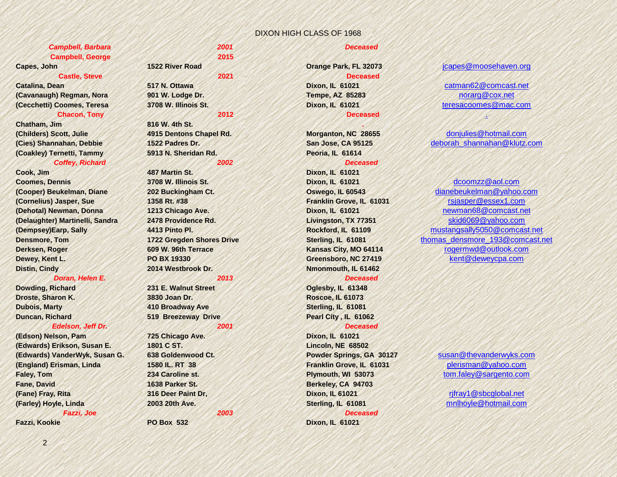### *Campbell, Barbara 2001 Deceased*  **Campbell, George 2015**

### **Castle, Steve 2021 Deceased**

**(Cavanaugh) Regman, Nora 901 W. Lodge Dr. Tempe, AZ 85283** [norarg@cox.net](mailto:norarg@cox.net) **(Cecchetti) Coomes, Teresa 3708 W. Illinois St. Dixon, IL 61021** [teresacoomes@mac.com](mailto:teresacoomes@mac.com)

### **Chacon, Tony 2012 Deceased** [.](mailto:tchacon0911@gmail.com)

**Chatham, Jim 816 W. 4th St. . (Childers) Scott, Julie 4915 Dentons Chapel Rd. Morganton, NC 28655** [donjulies@hotmail.com](mailto:donjulies@hotmail.com) **(Coakley) Ternetti, Tammy 5913 N. Sheridan Rd. Peoria, IL 61614** *Coffey, Richard 2002 Deceased* 

**Coomes, Dennis 3708 W. Illinois St. Dixon, IL 61021** [dcoomzz@aol.com](mailto:dcoomzz@aol.com) **(Cornelius) Jasper, Sue 1358 Rt. #38 Franklin Grove, IL 61031** [rsjasper@essex1.com](mailto:rsjasper@essex1.com) **(Delaughter) Martinelli, Sandra 2478 Providence Rd. Livingston, TX 77351** [skid6069@yahoo.com](mailto:skid6069@yahoo.com) **Dewey, Kent L. PO BX 19330 Greensboro, NC 27419** [kent@deweycpa.com](mailto:kent@deweycpa.com) **Distin, Cindy 2014 Westbrook Dr. Nmonmouth, IL 61462**

### *Doran, Helen E. 2013 Deceased*

**Dowding, Richard 231 E. Walnut Street <b>Communisty Communisty Communisty 231 E. Walnut Street** 

### *Edelson, Jeff Dr. 2001 Deceased*

**(Edson) Nelson, Pam 725 Chicago Ave. Dixon, IL 61021 (Edwards) Erikson, Susan E. 1801 C ST. Lincoln, NE 68502 (Edwards) VanderWyk, Susan G. 638 Goldenwood Ct. Powder Springs, GA 30127** [susan@thevanderwyks.com](mailto:susan@thevanderwyks.com) **(England) Erisman, Linda 1580 IL. RT 38 Franklin Grove, IL 61031** [plerisman@yahoo.com](mailto:plerisman@yahoo.com) **Faley, Tom 234 Caroline st. Plymouth, WI 53073** [tom.faley@sargento.com](mailto:tom.faley@sargento.com) **Fane, David 1638 Parker St. Berkeley, CA 94703 (Fane) Fray, Rita 316 Deer Paint Dr, Dixon, IL 61021** [rjfray1@sbcglobal.net](mailto:rjfray1@sbcglobal.net) **(Farley) Hoyle, Linda 2003 20th Ave. Sterling, IL 61081** [mnlhoyle@hotmail.com](mailto:mnlhoyle@hotmail.com)

**Cook, Jim 487 Martin St. Dixon, IL 61021**

**Droste, Sharon K. 3830 Joan Dr. Roscoe, IL 61073 Dubois, Marty 410 Broadway Ave Sterling, IL 61081 Duncan, Richard 519 Breezeway Drive Pearl City , IL 61062**

*Fazzi, Joe 2003 Deceased* 

### **Fazzi, Kookie PO Box 532 Dixon, IL 61021**

### **Capes, John 1522 River Road 1522 River Road 1522 River Road** *Capes @moosehaven.org*

**Catalina, Dean 517 N. Ottawa Dixon, IL 61021** [catman62@comcast.net](mailto:catman62@comcast.net)

# **(Cies) Shannahan, Debbie 1522 Padres Dr. San Jose, CA 95125** [deborah\\_shannahan@klutz.com](mailto:deborah_shannahan@klutz.com)

**(Cooper) Beukelman, Diane 202 Buckingham Ct. Oswego, IL 60543** [dianebeukelman@yahoo.com](mailto:dianebeukelman@yahoo.com) **(Dehotal) Newman, Donna 1213 Chicago Ave. Dixon, IL 61021** [newman68@comcast.net](mailto:newman68@comcast.net) **(Dempsey)Earp, Sally 4413 Pinto Pl. Rockford, IL 61109** [mustangsally5050@comcast.net](mailto:mustangsally5050@comcast.net) **Densmore, Tom <b>1722 Gregden Shores Drive Sterling, IL 61081** thomas densmore 193@comcast.net **Derksen, Roger 609 W. 96th Terrace 609 W. 96th Terrace Kansas City, MO 64114** [rogermwd@outlook.com](mailto:rogermwd@outlook.com)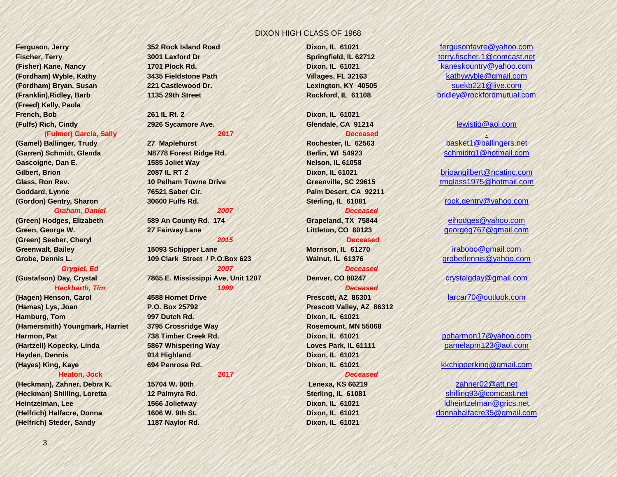**(Freed) Kelly, Paula French, Bob 261 IL Rt. 2 Dixon, IL 61021 (Fulfs) Rich, Cindy 2926 Sycamore Ave. Glendale, CA 91214** [lewistig@aol.com](mailto:lewistig@aol.com)

**(Gamel) Ballinger, Trudy <b>27 Maplehurst Rochester, IL 62563 Rochester, IL 62563 (Garren) Schmidt, Glenda N8778 Forest Ridge Rd. Berlin, WI 54923** [schmidtg1@hotmail.com](mailto:schmidtg1@hotmail.com) **Gascoigne, Dan E. 1585 Joliet Way Nelson, IL 61058 Gilbert, Brion 2087 IL RT 2 Dixon, IL 61021** [brioangilbert@ncatinc.com](mailto:brioangilbert@ncatinc.com) **Goddard, Lynne 76521 Saber Cir. Palm Desert, CA 92211 (Gordon) Gentry, Sharon 30600 Fulfs Rd. Sterling, IL 61081** [rock,gentry@yahoo.com](mailto:4rockg@cin.net)

### *Graham, Daniel 2007 Deceased*

**Green, George W. 27 Fairway Lane Littleton, CO 80123** [georgeg767@gmail.com](mailto:georgeg767@gmail.com) **(Green) Seeber, Cheryl** *2015* **Deceased Greenwalt, Bailey 15093 Schipper Lane Morrison, IL 61270** [irabobo@gmail.com](mailto:irabobo@gmail.com)

*Hackbarth, Tim 1999 Deceased* 

**(Hamas) Lys, Joan P.O. Box 25792 Prescott Valley, AZ 86312 Hamburg, Tom 997 Dutch Rd. Dixon, IL 61021 (Hamersmith) Youngmark, Harriet 3795 Crossridge Way Rosemount, MN 55068 Harmon, Pat 738 Timber Creek Rd. Dixon, IL 61021** [ppharmon17@yahoo.com](mailto:ppharmon17@yahoo.com) **(Hartzell) Kopecky, Linda 5867 Whispering Way Loves Park, IL 61111** [pamelapm123@aol.com](mailto:pamelapm123@aol.com) **Hayden, Dennis 914 Highland Dixon, IL 61021 (Hayes) King, Kaye 694 Penrose Rd. Dixon, IL 61021** [kkchipperking@gmail.com](mailto:kkchipperking@gmail.com)

### **Heaton, Jock 2017** *Deceased*

**(Heckman) Shilling, Loretta 12 Palmyra Rd. Sterling, IL 61081** [shilling93@comcast.net](mailto:shilling93@comcast.net) **Heintzelman, Lee 1566 Jolietway Dixon, IL 61021** [ldheintzelman@grics.net](mailto:ldheintzelman@grics.net) **(Helfrich) Steder, Sandy 1187 Naylor Rd. Dixon, IL 61021**

**Grobe, Dennis L. 109 Clark Street / P.O.Box 623 Walnut, IL 61376** [grobedennis@yahoo.com](mailto:grobedennis@yahoo.com) *Grygiel, Ed 2007 Deceased* 

**Ferguson, Jerry 352 Rock Island Road Dixon, IL 61021** [fergusonfavre@yahoo.com](mailto:fergusonfavre@yahoo.com) **Fischer, Terry 3001 Laxford Dr Springfield, IL 62712** [terry.fischer.1@comcast.net](mailto:terry.fischer.1@comcast.net) **(Fisher) Kane, Nancy 1701 Plock Rd. Dixon, IL 61021** [kaneskountry@yahoo.com](mailto:kaneskountry@yahoo.com) **(Fordham) Wyble, Kathy 3435 Fieldstone Path Villages, FL 32163** [kathywyble@gmail.com](mailto:kathywyble@gmail.com) **(Fordham) Bryan, Susan 221 Castlewood Dr. Lexington, KY 40505** [suekb221@live.com](mailto:suekb221@live.com) **(Franklin),Ridley, Barb 1135 29th Street Rockford, IL 61108** [bridley@rockfordmutual.com](mailto:bridley@rockfordmutual.com)

**Eulmer) Garcia, Sally 2017**<br> **2017 Deceased Ballinger, Trudy 27 Maplehurst 2017 Rochester, IL 62563 Deceased basket1@ballingers[.](mailto:salliegar@hotmail.com)net** 

**Glass, Ron Rev. 10 Pelham Towne Drive Greenville, SC 29615** [rmglass1975@hotmail.com](mailto:rmglass1975@hotmail.com)

**(Green) Hodges, Elizabeth 589 An County Rd. 174 Grapeland, TX 75844** [eihodges@yahoo.com](mailto:eihodges@yahoo.com)

**(Gustafson) Day, Crystal 7865 E. Mississippi Ave, Unit 1207 Denver, CO 80247** [crystalgday@gmail.com](mailto:crystalgday@gmail.com)

**(Hagen) Henson, Carol 4588 Hornet Drive Prescott, AZ 86301** [larcar70@outlook.com](mailto:larcar70@outlook.com)

**(Heckman), Zahner, Debra K. 15704 W. 80th Lenexa, KS 66219** [zahner02@att.net](mailto:zahner02@att.net) **(Helfrich) Halfacre, Donna 1606 W. 9th St. Dixon, IL 61021** [donnahalfacre35@gmail.com](mailto:donnahalfacre35@gmail.com)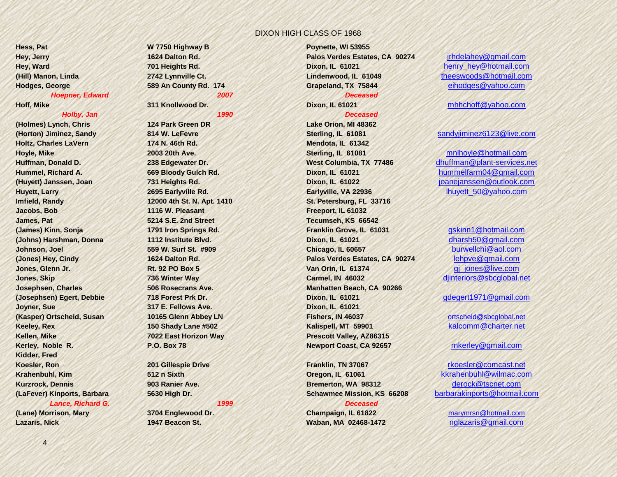**(Holmes) Lynch, Chris 124 Park Green DR Lake Orion, MI 48362 Holtz, Charles LaVern 174 N. 46th Rd. Mendota, IL 61342 Imfield, Randy 12000 4th St. N. Apt. 1410 St. Petersburg, FL 33716 Jacobs, Bob 1116 W. Pleasant Freeport, IL 61032 James, Pat 5214 S.E. 2nd Street Tecumseh, KS 66542 Joyner, Sue 317 E. Fellows Ave. Dixon, IL 61021 Kellen, Mike 7022 East Horizon Way Prescott Valley, AZ86315 Kidder, Fred Koesler, Ron 201 Gillespie Drive Franklin, TN 37067** [rkoesler@comcast.net](mailto:rkoesler@comcast.net) *Lance, Richard G. 1999 Deceased* 

# **Hess, Pat W 7750 Highway B Poynette, WI 53955**

*Holby, Jan 1990 Deceased* 

**Hey, Jerry 1624 Dalton Rd. Palos Verdes Estates, CA 90274** [jrhdelahey@gmail.com](mailto:jrhdelahey@gmail.com) **Hey, Ward** *Maximum Herghts Rd.* **<b>701 Heights Rd. 701 Heights Rd.** *Dixon, IL 61021* **henry hey@hotmail.com (Hill) Manon, Linda 2742 Lynnville Ct. Lindenwood, IL 61049** [theeswoods@hotmail.com](mailto:theeswoods@hotmail.com) **Hodges, George 589 An County Rd. 174 Grapeland, TX 75844** [eihodges@yahoo.com](mailto:eihodges@yahoo.com)

### *Hoepner, Edward 2007 Deceased*

**(Horton) Jiminez, Sandy 814 W. LeFevre Sterling, IL 61081** [sandyjiminez6123@live.com](mailto:sandyjiminez6123@live.com) **Hoyle, Mike 2003 20th Ave. Sterling, IL 61081** [mnlhoyle@hotmail.com](mailto:mnlhoyle@hotmail.com) **Huyett, Larry Barry 2695 Earlyville Rd. Earlyville, VA 22936 Earlyville, VA 22936** [lhuyett\\_50@yahoo.com](mailto:lhuyett_50@yahoo.com) **(James) Kinn, Sonja 1791 Iron Springs Rd. Franklin Grove, IL 61031** [gskinn1@hotmail.com](mailto:gskinn1@hotmail.com) **(Johns) Harshman, Donna 1112 Institute Blvd. Dixon, IL 61021** [dharsh50@gmail.com](mailto:dharsh50@gmail.com) **Johnson, Joel 559 W. Surf St. #909 Chicago, IL 60657** [burwellchi@aol.com](mailto:burwellchi@aol.com) **(Jones) Hey, Cindy 1624 Dalton Rd. Palos Verdes Estates, CA 90274** [lehpve@gmail.com](mailto:lehpve@gmail.com) **Jones, Glenn Jr. Rt. 92 PO Box 5 Van Orin, IL 61374 Give.com gi** jones@live.com **Jones, Skip 736 Winter Way Carmel, IN 46032** [djinteriors@sbcglobal.net](mailto:djinteriors@sbcglobal.net) **Josephsen, Charles 506 Rosecrans Ave. Manhatten Beach, CA 90266 (Josephsen) Egert, Debbie 718 Forest Prk Dr. Dixon, IL 61021** [gdegert1971@gmail.com](mailto:gdegert1971@gmail.com) **(Kasper) Ortscheid, Susan 10165 Glenn Abbey LN Fishers, IN 46037** [ortscheid@sbcglobal.net](mailto:ortscheid@sbcglobal.net) **Keeley, Rex 150 Shady Lane #502 Kalispell, MT 59901** [kalcomm@charter.net](mailto:kalcomm@charter.net) **Kerley, Noble R. P.O. Box 78 Newport Coast, CA 92657** [rnkerley@gmail.com](mailto:rnkerley@gmail.com)

**Krahenbuhl, Kim 512 n Sixth Oregon, IL 61061** [kkrahenbuhl@wilmac.com](mailto:kkrahenbuhl@wilmac.com) **Kurzrock, Dennis 903 Ranier Ave. Bremerton, WA 98312** [derock@tscnet.com](mailto:derock@tscnet.com) **(LaFever) Kinports, Barbara 5630 High Dr. Schawmee Mission, KS 66208** [barbarakinports@hotmail.com](mailto:barbarakinports@hotmail.com)

**(Lane) Morrison, Mary 3704 Englewood Dr. Champaign, IL 61822** [marymrsn@hotmail.com](mailto:marymrsn@hotmail.com) **Lazaris, Nick 1947 Beacon St. Waban, MA 02468-1472** [nglazaris@gmail.com](mailto:nglazaris@gmail.com)

### **Hoff, Mike 311 Knollwood Dr. Dixon, IL 61021** [mhhchoff@yahoo.com](mailto:mhhchoff@yahoo.com)

**Huffman, Donald D. 238 Edgewater Dr. West Columbia, TX 77486** [dhuffman@plant-services.net](mailto:dhuffman@plant-services.net) **Hummel, Richard A. 669 Bloody Gulch Rd. Dixon, IL 61021** [hummelfarm04@gmail.com](mailto:hummelfarm04@gmail.com) **(Huyett) Janssen, Joan 731 Heights Rd. Dixon, IL 61022** [joanejanssen@outlook.com](mailto:joanejanssen@outlook.com)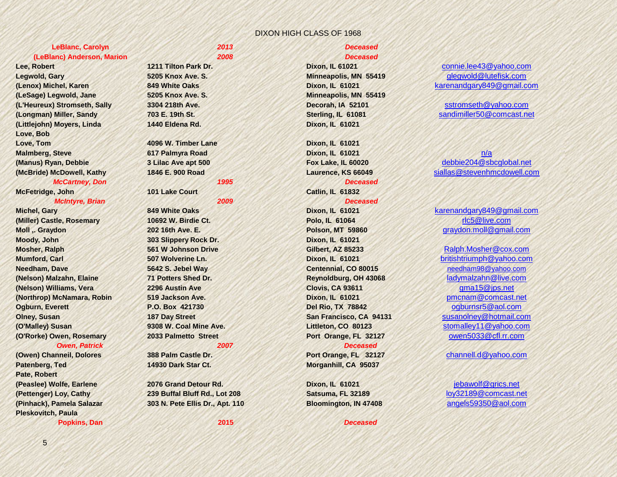### **LeBlanc, Carolyn** *2013 Deceased*  **(LeBlanc) Anderson, Marion** *2008 Deceased*

**Legwold, Gary 5205 Knox Ave. S. Minneapolis, MN 55419** [glegwold@lutefisk.com](mailto:glegwold@lutefisk.com) **(LeSage) Legwold, Jane 5205 Knox Ave. S. Minneapolis, MN 55419 (L'Heureux) Stromseth, Sally 3304 218th Ave. Decorah, IA 52101** [sstromseth@yahoo.com](mailto:sstromseth@yahoo.com) **(Longman) Miller, Sandy 703 E. 19th St. Sterling, IL 61081** [sandimiller50@comcast.net](mailto:sandimiller50@comcast.net) **(Littlejohn) Moyers, Linda 1440 Eldena Rd. Dixon, IL 61021 Love, Bob Love, Tom 4096 W. Timber Lane Dixon, IL 61021 Malmberg, Steve 617 Palmyra Road Dixon, IL 61021** [n/a](mailto:debbie204@sbcglobal.net) *McCartney, Don 1995 Deceased* 

**McFetridge, John 101 Lake Court Catlin, IL 61832**

### **(Miller) Castle, Rosemary 10692 W. Birdie Ct. Polo, IL 61064** [rlc5@live.com](mailto:rlc5@live.com) **Moody, John 303 Slippery Rock Dr. Dixon, IL 61021 Mosher, Ralph 561 W Johnson Drive Gilbert, AZ 85233** [Ralph.Mosher@cox.com](mailto:Ralph.Mosher@cox.com) **Mumford, Carl 507 Wolverine Ln. Dixon, IL 61021** [britishtriumph@yahoo.com](mailto:britishtriumph@yahoo.com) **Needham, Dave 5642 S. Jebel Way Centennial, CO 80015 [needham98@yahoo.com](mailto:needham98@yahoo.com) (Nelson) Malzahn, Elaine 71 Potters Shed Dr. Reynoldburg, OH 43068** [ladymalzahn@live.com](mailto:ladymalzahn@live.com) **(Nelson) Williams, Vera 2296 Austin Ave Clovis, CA 93611** [gma15@jps.net](mailto:gma15@jps.net) **(Northrop) McNamara, Robin 519 Jackson Ave. Dixon, IL 61021** [pmcnam@comcast.net](mailto:pmcnam@comcast.net) **Ogburn, Everett P.O. Box 421730 Del Rio, TX 78842** [ogburnsr5@aol.com](mailto:ogburnsr5@aol.com) **Olney, Susan San Francisco, CA 94131** [susanolney@hotmail.com](mailto:susanolney@hotmail.com) **(O'Malley) Susan 9308 W. Coal Mine Ave. Littleton, CO 80123** [stomalley11@yahoo.com](mailto:stomalley11@yahoo.com) **(O'Rorke) Owen, Rosemary 2033 Palmetto Street Port Orange, FL 32127** [owen5033@cfl.rr.com](mailto:owen5033@cfl.rr.com) *Owen, Patrick 2007 Deceased*

**(Owen) Channeil, Dolores 388 Palm Castle Dr. Port Orange, FL 32127** [channell.d@yahoo.com](mailto:channell.d@yahoo.com) **Patenberg, Ted 14930 Dark Star Ct. Morganhill, CA 95037 Pate, Robert (Peaslee) Wolfe, Earlene 2076 Grand Detour Rd. Dixon, IL 61021** [jebawolf@grics.net](mailto:jebawolf@grics.net) **Pleskovitch, Paula**

**Popkins, Dan 2015** *Deceased* 

**(Pettenger) Loy, Cathy 239 Buffal Bluff Rd., Lot 208 Satsuma, FL 32189** [loy32189@comcast.net](mailto:loy32189@comcast.net) **(Pinhack), Pamela Salazar 303 N. Pete Ellis Dr., Apt. 110 Bloomington, IN 47408** [angels59350@aol.com](mailto:angels59350@aol.com)

*McIntyre, Brian 2009 Deceased* 

**Lee, Robert 1211 Tilton Park Dr. Dixon, IL 61021** [connie.lee43@yahoo.com](mailto:connie.lee43@yahoo.com) **(Lenox) Michel, Karen 849 White Oaks Dixon, IL 61021** [karenandgary849@gmail.com](mailto:karenandgary849@gmail.com)

**(Manus) Ryan, Debbie 3 Lilac Ave apt 500 Fox Lake, IL 60020** [debbie204@sbcglobal.net](mailto:debbie204@sbcglobal.net) **(McBride) McDowell, Kathy 1846 E. 900 Road Laurence, KS 66049** [siallas@stevenhmcdowell.com](mailto:siallas@stevenhmcdowell.com)

**Michel, Gary 849 White Oaks Dixon, IL 61021** [karenandgary849@gmail.com](mailto:karenandgary849@gmail.com) **Moll ,. Graydon 202 16th Ave. E. Polson, MT 59860** [graydon.moll@gmail.com](mailto:graydon.moll@gmail.com)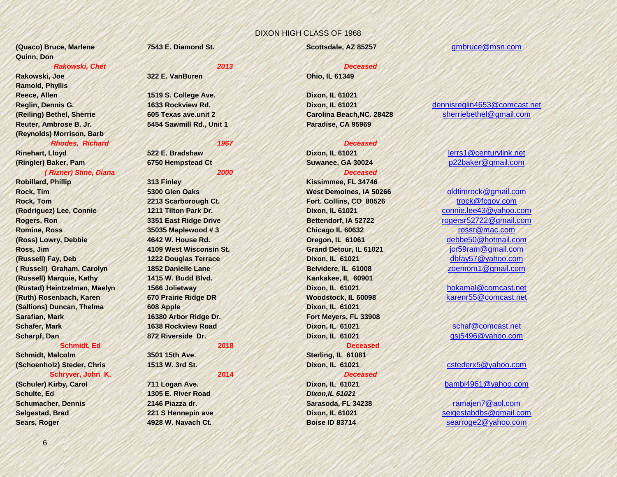**(Quaco) Bruce, Marlene 7543 E. Diamond St. Scottsdale, AZ 85257** [gmbruce@msn.com](mailto:gmbruce@msn.com) **Quinn, Don**

### *Rakowski, Chet 2013 Deceased*

**Rakowski, Joe 322 E. VanBuren Ohio, IL 61349 Ramold, Phyllis Reece, Allen 1519 S. College Ave. Dixon, IL 61021 Reuter, Ambrose B. Jr. 5454 Sawmill Rd., Unit 1 Paradise, CA 95969 (Reynolds) Morrison, Barb** *Rhodes, Richard 1967 Deceased* 

### *( Rizner) Stine, Diana 2000 Deceased*

**Robillard, Phillip 313 Finley Kissimmee, FL 34746 Rock, Tim 5300 Glen Oaks 5300 Glen Oaks 1989 Mest Demoines, IA 50266** [oldtimrock@gmail.com](mailto:oldtimrock@gmail.com) **Rock, Tom 2213 Scarborough Ct. Fort. Collins, CO 80526** [trock@fcgov.com](mailto:trock@fcgov.com) **(Rodriguez) Lee, Connie 1211 Tilton Park Dr. Dixon, IL 61021** [connie.lee43@yahoo.com](mailto:connie.lee43@yahoo.com) **Rogers, Ron 2008 2009 13351 East Ridge Drive <b>3351 East Ridge Drive Bettendorf, IA 52722** [rogersr52722@gmail.com](mailto:rogersr52722@gmail.com) **Romine, Ross 35035 Maplewood # 3 Chicago IL 60632** [rossr@mac.com](mailto:rossr@mac.com) **(Ross) Lowry, Debbie 4642 W. House Rd. Oregon, IL 61061** [debbe50@hotmail.com](mailto:debbe50@hotmail.com) **Ross, Jim 4109 West Wisconsin St. Grand Detour, IL 61021** [jcr59ram@gmail.com](mailto:jcr59ram@gmail.com) **(Russell) Fay, Deb 1222 Douglas Terrace Dixon, IL 61021** [dbfay57@yahoo.com](mailto:dbfay57@yahoo.com) **( Russell) Graham, Carolyn 1852 Danielle Lane Belvidere, IL 61008** [zoemom1@gmail.com](mailto:zoemom1@gmail.com) **(Russell) Marquie, Kathy 1415 W. Budd Blvd. Kankakee, IL 60901 (Rustad) Heintzelman, Maelyn 1566 Jolietway Dixon, IL 61021** [hokamal@comcast.net](mailto:hokamal@comcast.net) **(Ruth) Rosenbach, Karen 670 Prairie Ridge DR Woodstock, IL 60098** [karenr55@comcast.net](mailto:karenr55@comcast.net) **(Sallions) Duncan, Thelma 608 Apple Dixon, IL 61021 Sarafian, Mark 16380 Arbor Ridge Dr. Fort Meyers, FL 33908 Schafer, Mark 1638 Rockview Road Dixon, IL 61021** [schaf@comcast.net](mailto:schaf@comcast.net) **Scharpf, Dan 872 Riverside Dr. Dixon, IL 61021** [gsj5496@yahoo.com](mailto:gsj5496@yahoo.com)

### **Schmidt, Ed 2018 Deceased**

**Schmidt, Malcolm 3501 15th Ave. Sterling, IL 61081 (Schoenholz) Steder, Chris 1513 W. 3rd St. Dixon, IL 61021** [cstederx5@yahoo.com](mailto:cstederx5@yahoo.com) **Schryver, John K. 2014** *Deceased* 

# **Schulte, Ed 1305 E. River Road** *Dixon,IL 61021* **Schumacher, Dennis 2146 Piazza dr. Sarasoda, FL 34238** [ramajen7@aol.com](mailto:ramajen7@aol.com)

**Reglin, Dennis G. 1633 Rockview Rd. Dixon, IL 61021** [dennisreglin4653@comcast.net](mailto:dennisreglin4653@comcast.net) **(Reiling) Bethel, Sherrie 605 Texas ave.unit 2 Carolina Beach,NC. 28428** [sherriebethel@gmail.com](mailto:sherriebethel@gmail.com)

### **Rinehart, Lloyd 522 E. Bradshaw Dixon, IL 61021** [lerrs1@centurylink.net](mailto:lerrs1@centurylink.net) **(Ringler) Baker, Pam 6750 Hempstead Ct Suwanee, GA 30024** [p22baker@gmail.com](mailto:p22baker@gmail.com)

**(Schuler) Kirby, Carol 711 Logan Ave. Dixon, IL 61021** [bambi4961@yahoo.com](mailto:bambi4961@yahoo.com)

**Selgestad, Brad 221 S Hennepin ave Dixon, IL 61021** [seigestabdbs@gmail.com](mailto:seigestabdbs@gmail.com) **Sears, Roger 4928 W. Navach Ct. Boise ID 83714** [searroge2@yahoo.com](mailto:searroge2@yahoo.com)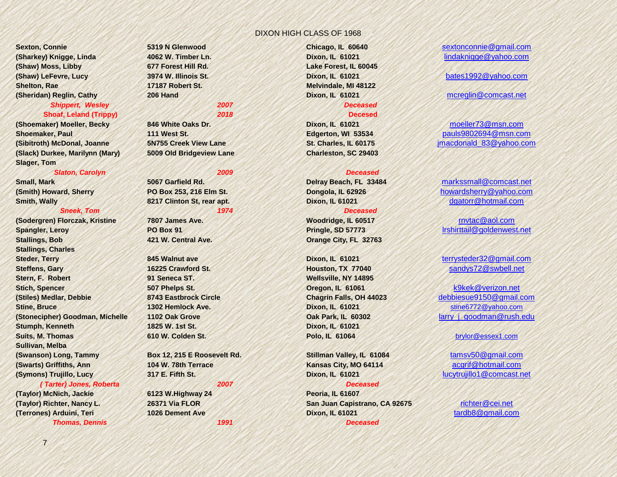**(Shaw) Moss, Libby 677 Forest Hill Rd. Lake Forest, IL 60045 (Shaw) LeFevre, Lucy 3974 W. Illinois St. Dixon, IL 61021** [bates1992@yahoo.com](mailto:bates1992@yahoo.com) **Shelton, Rae 17187 Robert St. Melvindale, MI 48122 (Sheridan) Reglin, Cathy 206 Hand Dixon, IL 61021** [mcreglin@comcast.net](mailto:mcreglin@comcast.net) *Shippert, Wesley 2007 Deceased* 

### **Shoaf, Leland (Trippy)** *2018* **Decesed**

**(Shoemaker) Moeller, Becky** 846 White Oaks Dr. **Dixon, IL 61021** [moeller73@msn.com](mailto:moeller73@msn.com)<br>Shoemaker, Paul 111 West St. **Edgerton, WI 53534** mauls9802694@msn.com **Shoemaker, Paul 111 West St. Edgerton, WI 53534** [pauls9802694@msn.com](mailto:pauls9802694@msn.com) **(Sibitroth) McDonal, Joanne 5N755 Creek View Lane St. Charles, IL 60175** [jmacdonald\\_83@yahoo.com](mailto:jmacdonald_83@yahoo.com) **(Slack) Durkee, Marilynn (Mary) 5009 Old Bridgeview Lane Charleston, SC 29403 Slager, Tom**

### *Slaton, Carolyn 2009 Deceased*

### *Sneek, Tom 1974 Deceased*

**(Sodergren) Florczak, Kristine 7807 James Ave. Woodridge, IL 60517** [rnvtac@aol.com](mailto:rnvtac@aol.com) **Spangler, Leroy PO Box 91 Pringle, SD 57773** [lrshirttail@goldenwest.net](mailto:lrshirttail@goldenwest.net) **Stallings, Bob 421 W. Central Ave. Orange City, FL 32763 Stallings, Charles Steder, Terry 845 Walnut ave Dixon, IL 61021** [terrysteder32@gmail.com](mailto:terrysteder32@gmail.com) **Steffens, Gary 16225 Crawford St. Houston, TX 77040** [sandys72@swbell.net](mailto:sandys72@swbell.net) **Stern, F. Robert 91 Seneca ST. Wellsville, NY 14895 Stich, Spencer 507 Phelps St. Oregon, IL 61061** [k9kek@verizon.net](mailto:k9kek@verizon.net) **(Stiles) Medlar, Debbie 8743 Eastbrock Circle Chagrin Falls, OH 44023** [debbiesue9150@gmail.com](mailto:debbiesue9150@gmail.com) **Stine, Bruce 1302 Hemlock Ave. Dixon, IL 61021** [stine6772@yahoo.com](mailto:stine6772@yahoo.com) **(Stonecipher) Goodman, Michelle 1102 Oak Grove <b>Date Date of Park, IL 60302** larry j\_goodman@rush.edu **Stumph, Kenneth 1825 W. 1st St. Dixon, IL 61021 Suits, M. Thomas 610 W. Colden St. Polo, IL 61064** [brylor@essex1.com](mailto:brylor@essex1.com) **Sullivan, Melba (Swanson) Long, Tammy Box 12, 215 E Roosevelt Rd. Stillman Valley, IL 61084** [tamsv50@gmail.com](mailto:tamsv50@gmail.com) **(Swarts) Griffiths, Ann 104 W. 78th Terrace Kansas City, MO 64114** [acgrif@hotmail.com](mailto:acgrif@hotmail.com) **(Symons) Trujillo, Lucy 317 E. Fifth St. Dixon, IL 61021** [lucytrujillo1@comcast.net](mailto:lucytrujillo1@comcast.net)

### *( Tarter) Jones, Roberta 2007 Deceased*

**(Taylor) McNich, Jackie 6123 W.Highway 24 Peoria, IL 61607 (Terrones) Arduini, Teri 1026 Dement Ave <b>Dixon, IL 61021 Dixon, IL 61021** 

*Thomas, Dennis 1991 Deceased*

**(Taylor) Richter, Nancy L. 26371 Via FLOR San Juan Capistrano, CA 92675** [richter@cei.net](mailto:richter@cei.net)

**Sexton, Connie and Chicago, IL 60640** [sextonconnie@gmail.com](mailto:sextonconnie@gmail.com) **(Sharkey) Knigge, Linda 4062 W. Timber Ln. Dixon, IL 61021** [lindaknigge@yahoo.com](mailto:lindaknigge@yahoo.com)

**Small, Mark 5067 Garfield Rd. Delray Beach, FL 33484** [markssmall@comcast.net](mailto:markssmall@comcast.net) **(Smith) Howard, Sherry PO Box 253, 216 Elm St. Dongola, IL 62926** [howardsherry@yahoo.com](mailto:howardsherry@yahoo.com) **Smith, Wally 8217 Clinton St, rear apt. Dixon, IL 61021** [dgatorr@hotmail.com](mailto:dgatorr@hotmail.com)